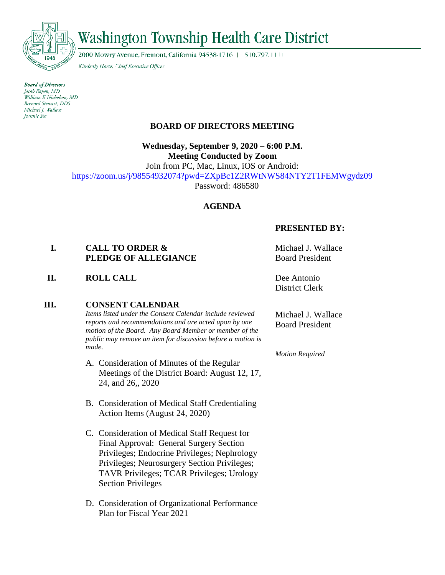

# **Washington Township Health Care District**

2000 Mowry Avenue, Fremont, California 94538-1716 | 510.797.1111

Kimberly Hartz, Chief Executive Officer

**Board of Directors** Jacob Eapen, MD William F. Nicholson, MD Bernard Stewart, DDS Michael J. Wallace Jeannie Yee

# **BOARD OF DIRECTORS MEETING**

**Wednesday, September 9, 2020 – 6:00 P.M. Meeting Conducted by Zoom**

Join from PC, Mac, Linux, iOS or Android: <https://zoom.us/j/98554932074?pwd=ZXpBc1Z2RWtNWS84NTY2T1FEMWgydz09>

Password: 486580

# **AGENDA**

# **PRESENTED BY:**

**I. CALL TO ORDER & PLEDGE OF ALLEGIANCE**

**II. ROLL CALL Dee Antonio** 

## **III. CONSENT CALENDAR**

*Items listed under the Consent Calendar include reviewed reports and recommendations and are acted upon by one motion of the Board. Any Board Member or member of the public may remove an item for discussion before a motion is made.*

- A. Consideration of Minutes of the Regular Meetings of the District Board: August 12, 17, 24, and 26,, 2020
- B. Consideration of Medical Staff Credentialing Action Items (August 24, 2020)
- C. Consideration of Medical Staff Request for Final Approval: General Surgery Section Privileges; Endocrine Privileges; Nephrology Privileges; Neurosurgery Section Privileges; TAVR Privileges; TCAR Privileges; Urology Section Privileges
- D. Consideration of Organizational Performance Plan for Fiscal Year 2021

Michael J. Wallace Board President

District Clerk

Michael J. Wallace Board President

*Motion Required*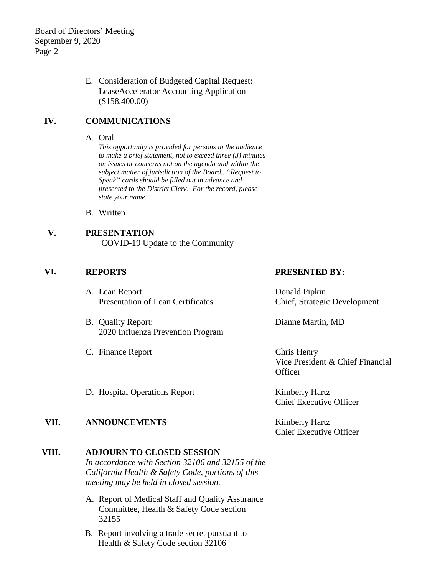E. Consideration of Budgeted Capital Request: LeaseAccelerator Accounting Application (\$158,400.00)

# **IV. COMMUNICATIONS**

#### A. Oral

*This opportunity is provided for persons in the audience to make a brief statement, not to exceed three (3) minutes on issues or concerns not on the agenda and within the subject matter of jurisdiction of the Board.. "Request to Speak" cards should be filled out in advance and presented to the District Clerk. For the record, please state your name.*

- B. Written
- **V. PRESENTATION** COVID-19 Update to the Community

## **VI. REPORTS PRESENTED BY:**

- A. Lean Report: Presentation of Lean Certificates
- B. Quality Report: 2020 Influenza Prevention Program
- C. Finance Report Chris Henry

Donald Pipkin Chief, Strategic Development

Dianne Martin, MD

Vice President & Chief Financial **Officer** 

D. Hospital Operations Report Kimberly Hartz

## **VII. ANNOUNCEMENTS** Kimberly Hartz

## **VIII. ADJOURN TO CLOSED SESSION**

*In accordance with Section 32106 and 32155 of the California Health & Safety Code, portions of this meeting may be held in closed session.*

- A. Report of Medical Staff and Quality Assurance Committee, Health & Safety Code section 32155
- B. Report involving a trade secret pursuant to Health & Safety Code section 32106

Chief Executive Officer

Chief Executive Officer